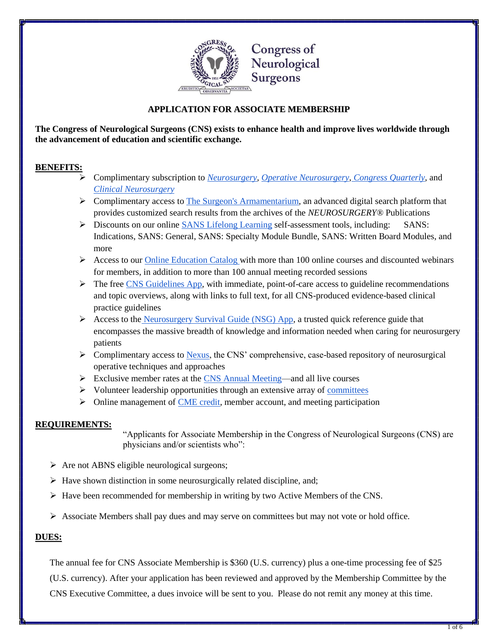

## **APPLICATION FOR ASSOCIATE MEMBERSHIP**

**The Congress of Neurological Surgeons (CNS) exists to enhance health and improve lives worldwide through the advancement of education and scientific exchange.**

## **BENEFITS:**

- Complimentary subscription to *[Neurosurgery,](https://academic.oup.com/neurosurgery) [Operative Neurosurgery,](https://academic.oup.com/ons) [Congress Quarterly,](https://www.cns.org/publications/congress-quarterly)* and *[Clinical Neurosurgery](https://www.cns.org/education/browse-type/clinical-neurosurgery)*
- **EXECOMPLE COMPLIMENT AT A SURFERICE ARTLANE IS A SURFERICE AT A SURFERICE ASSESSMENT AND SURFERICE ASSESSMENT AND SURFERICE ASSESSMENT AND SURFERICE ASSESSMENT AND SURFERICE ASSESSMENT AND SURFERICE ASSESSMENT AND SURFERI** provides customized search results from the archives of the *NEUROSURGERY®* Publications
- Discounts on our online [SANS Lifelong Learning](https://www.cns.org/education/browse-type/sans) self-assessment tools, including: SANS: Indications, SANS: General, SANS: Specialty Module Bundle, SANS: Written Board Modules, and more
- $\triangleright$  Access to our [Online Education Catalog w](http://learn.cns.org/diweb/home)ith more than 100 online courses and discounted webinars for members, in addition to more than 100 annual meeting recorded sessions
- $\triangleright$  The free [CNS Guidelines App,](https://www.cns.org/education/apps) with immediate, point-of-care access to guideline recommendations and topic overviews, along with links to full text, for all CNS-produced evidence-based clinical practice guidelines
- Access to the [Neurosurgery Survival Guide \(NSG\) App,](https://www.cns.org/education/apps) a trusted quick reference guide that encompasses the massive breadth of knowledge and information needed when caring for neurosurgery patients
- $\triangleright$  Complimentary access to [Nexus,](http://cns.org/nexus) the CNS' comprehensive, case-based repository of neurosurgical operative techniques and approaches
- $\triangleright$  Exclusive member rates at the [CNS Annual Meeting—](https://www.cns.org/meetings/annual-meeting)and all live courses
- $\triangleright$  Volunteer leadership opportunities through an extensive array of [committees](https://www.cns.org/about-us/leadership-committees)
- $\triangleright$  Online management o[f CME credit,](https://www.cns.org/education) member account, and meeting participation

### **REQUIREMENTS:**

"Applicants for Associate Membership in the Congress of Neurological Surgeons (CNS) are physicians and/or scientists who":

- $\triangleright$  Are not ABNS eligible neurological surgeons;
- $\triangleright$  Have shown distinction in some neurosurgically related discipline, and;
- Have been recommended for membership in writing by two Active Members of the CNS.
- $\triangleright$  Associate Members shall pay dues and may serve on committees but may not vote or hold office.

### **DUES:**

The annual fee for CNS Associate Membership is \$360 (U.S. currency) plus a one-time processing fee of \$25

(U.S. currency). After your application has been reviewed and approved by the Membership Committee by the CNS Executive Committee, a dues invoice will be sent to you. Please do not remit any money at this time.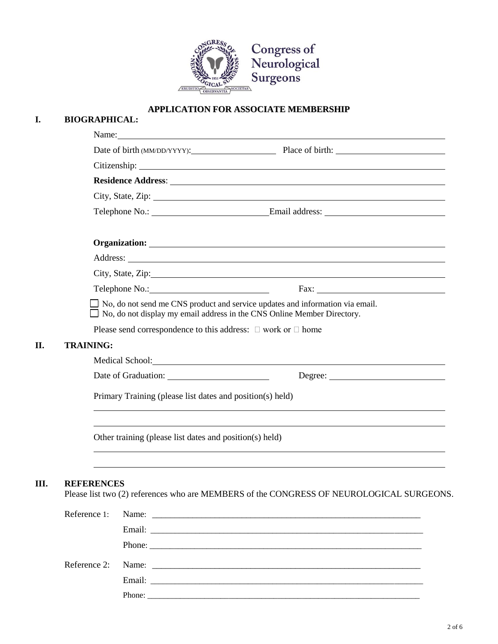

## **APPLICATION FOR ASSOCIATE MEMBERSHIP**

| I.  | <b>BIOGRAPHICAL:</b>                                                                                                                                                                                                           |  |  |
|-----|--------------------------------------------------------------------------------------------------------------------------------------------------------------------------------------------------------------------------------|--|--|
|     | Name: Name and the set of the set of the set of the set of the set of the set of the set of the set of the set of the set of the set of the set of the set of the set of the set of the set of the set of the set of the set o |  |  |
|     | Date of birth (MM/DD/YYYY): Place of birth:                                                                                                                                                                                    |  |  |
|     |                                                                                                                                                                                                                                |  |  |
|     |                                                                                                                                                                                                                                |  |  |
|     |                                                                                                                                                                                                                                |  |  |
|     |                                                                                                                                                                                                                                |  |  |
|     |                                                                                                                                                                                                                                |  |  |
|     |                                                                                                                                                                                                                                |  |  |
|     | City, State, Zip:                                                                                                                                                                                                              |  |  |
|     |                                                                                                                                                                                                                                |  |  |
|     | $\Box$ No, do not send me CNS product and service updates and information via email.<br>$\Box$ No, do not display my email address in the CNS Online Member Directory.                                                         |  |  |
|     | Please send correspondence to this address: $\Box$ work or $\Box$ home                                                                                                                                                         |  |  |
| II. | <b>TRAINING:</b>                                                                                                                                                                                                               |  |  |
|     | Medical School: Lawrence and School: Lawrence and School:                                                                                                                                                                      |  |  |
|     |                                                                                                                                                                                                                                |  |  |
|     | Primary Training (please list dates and position(s) held)                                                                                                                                                                      |  |  |
|     | Other training (please list dates and position(s) held)                                                                                                                                                                        |  |  |
| Ш.  | <b>REFERENCES</b><br>Please list two (2) references who are MEMBERS of the CONGRESS OF NEUROLOGICAL SURGEONS.                                                                                                                  |  |  |
|     | Reference 1:                                                                                                                                                                                                                   |  |  |
|     |                                                                                                                                                                                                                                |  |  |
|     |                                                                                                                                                                                                                                |  |  |

Email: \_\_\_\_\_\_\_\_\_\_\_\_\_\_\_\_\_\_\_\_\_\_\_\_\_\_\_\_\_\_\_\_\_\_\_\_\_\_\_\_\_\_\_\_\_\_\_\_\_\_\_\_\_\_\_\_\_\_\_\_\_\_\_\_\_\_\_

Reference 2: Name: \_\_\_\_\_\_\_\_\_\_\_\_\_\_\_\_\_\_\_\_\_\_\_\_\_\_\_\_\_\_\_\_\_\_\_\_\_\_\_\_\_\_\_\_\_\_\_\_\_\_\_\_\_\_\_\_\_\_\_\_

Phone: \_\_\_\_\_\_\_\_\_\_\_\_\_\_\_\_\_\_\_\_\_\_\_\_\_\_\_\_\_\_\_\_\_\_\_\_\_\_\_\_\_\_\_\_\_\_\_\_\_\_\_\_\_\_\_\_\_\_\_\_\_\_\_\_\_\_\_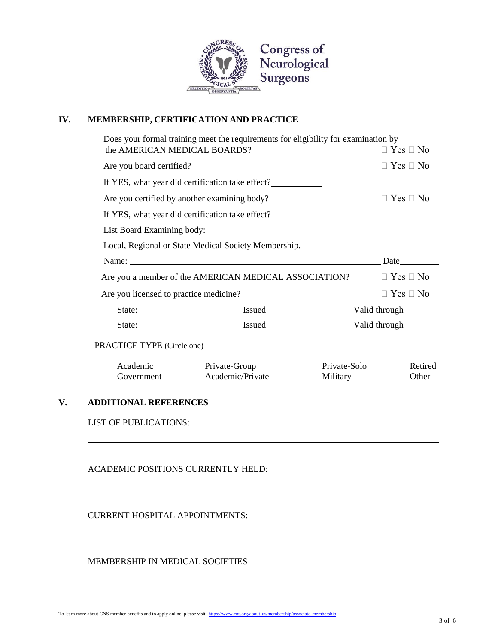

# **IV. MEMBERSHIP, CERTIFICATION AND PRACTICE**

| the AMERICAN MEDICAL BOARDS?           | Does your formal training meet the requirements for eligibility for examination by |                          | $\Box$ Yes $\Box$ No                                                                                                                                                                                                           |  |
|----------------------------------------|------------------------------------------------------------------------------------|--------------------------|--------------------------------------------------------------------------------------------------------------------------------------------------------------------------------------------------------------------------------|--|
| Are you board certified?               |                                                                                    |                          | $\Box$ Yes $\Box$ No                                                                                                                                                                                                           |  |
|                                        | If YES, what year did certification take effect?                                   |                          |                                                                                                                                                                                                                                |  |
|                                        | Are you certified by another examining body?                                       |                          | $\Box$ Yes $\Box$ No                                                                                                                                                                                                           |  |
|                                        | If YES, what year did certification take effect?                                   |                          |                                                                                                                                                                                                                                |  |
|                                        |                                                                                    |                          |                                                                                                                                                                                                                                |  |
|                                        | Local, Regional or State Medical Society Membership.                               |                          |                                                                                                                                                                                                                                |  |
|                                        | Name: Date                                                                         |                          |                                                                                                                                                                                                                                |  |
|                                        | Are you a member of the AMERICAN MEDICAL ASSOCIATION?                              |                          | $\Box$ Yes $\Box$ No                                                                                                                                                                                                           |  |
| Are you licensed to practice medicine? |                                                                                    |                          | $\Box$ Yes $\Box$ No                                                                                                                                                                                                           |  |
|                                        | State: <u>State:</u> Issued Valid through                                          |                          |                                                                                                                                                                                                                                |  |
|                                        |                                                                                    |                          | State: State: State: State: State: State: State: State: State: State: State: State: State: State: State: State: State: State: State: State: State: State: State: State: State: State: State: State: State: State: State: State |  |
| PRACTICE TYPE (Circle one)             |                                                                                    |                          |                                                                                                                                                                                                                                |  |
| Academic<br>Government                 | Private-Group<br>Academic/Private                                                  | Private-Solo<br>Military | Retired<br>Other                                                                                                                                                                                                               |  |
| <b>ADDITIONAL REFERENCES</b>           |                                                                                    |                          |                                                                                                                                                                                                                                |  |
| <b>LIST OF PUBLICATIONS:</b>           |                                                                                    |                          |                                                                                                                                                                                                                                |  |
| ACADEMIC POSITIONS CURRENTLY HELD:     |                                                                                    |                          |                                                                                                                                                                                                                                |  |
|                                        |                                                                                    |                          |                                                                                                                                                                                                                                |  |

MEMBERSHIP IN MEDICAL SOCIETIES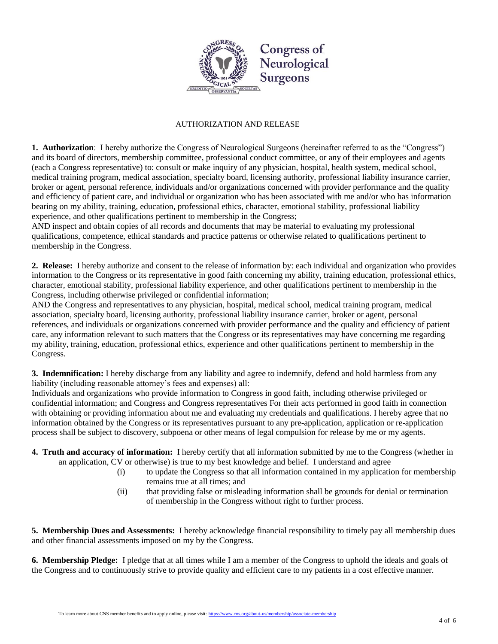

#### AUTHORIZATION AND RELEASE

**1. Authorization**: I hereby authorize the Congress of Neurological Surgeons (hereinafter referred to as the "Congress") and its board of directors, membership committee, professional conduct committee, or any of their employees and agents (each a Congress representative) to: consult or make inquiry of any physician, hospital, health system, medical school, medical training program, medical association, specialty board, licensing authority, professional liability insurance carrier, broker or agent, personal reference, individuals and/or organizations concerned with provider performance and the quality and efficiency of patient care, and individual or organization who has been associated with me and/or who has information bearing on my ability, training, education, professional ethics, character, emotional stability, professional liability experience, and other qualifications pertinent to membership in the Congress;

AND inspect and obtain copies of all records and documents that may be material to evaluating my professional qualifications, competence, ethical standards and practice patterns or otherwise related to qualifications pertinent to membership in the Congress.

**2. Release:** I hereby authorize and consent to the release of information by: each individual and organization who provides information to the Congress or its representative in good faith concerning my ability, training education, professional ethics, character, emotional stability, professional liability experience, and other qualifications pertinent to membership in the Congress, including otherwise privileged or confidential information;

AND the Congress and representatives to any physician, hospital, medical school, medical training program, medical association, specialty board, licensing authority, professional liability insurance carrier, broker or agent, personal references, and individuals or organizations concerned with provider performance and the quality and efficiency of patient care, any information relevant to such matters that the Congress or its representatives may have concerning me regarding my ability, training, education, professional ethics, experience and other qualifications pertinent to membership in the Congress.

**3. Indemnification:** I hereby discharge from any liability and agree to indemnify, defend and hold harmless from any liability (including reasonable attorney's fees and expenses) all:

Individuals and organizations who provide information to Congress in good faith, including otherwise privileged or confidential information; and Congress and Congress representatives For their acts performed in good faith in connection with obtaining or providing information about me and evaluating my credentials and qualifications. I hereby agree that no information obtained by the Congress or its representatives pursuant to any pre-application, application or re-application process shall be subject to discovery, subpoena or other means of legal compulsion for release by me or my agents.

- **4. Truth and accuracy of information:** I hereby certify that all information submitted by me to the Congress (whether in an application, CV or otherwise) is true to my best knowledge and belief. I understand and agree
	- (i) to update the Congress so that all information contained in my application for membership remains true at all times; and
	- (ii) that providing false or misleading information shall be grounds for denial or termination of membership in the Congress without right to further process.

**5. Membership Dues and Assessments:** I hereby acknowledge financial responsibility to timely pay all membership dues and other financial assessments imposed on my by the Congress.

**6. Membership Pledge:** I pledge that at all times while I am a member of the Congress to uphold the ideals and goals of the Congress and to continuously strive to provide quality and efficient care to my patients in a cost effective manner.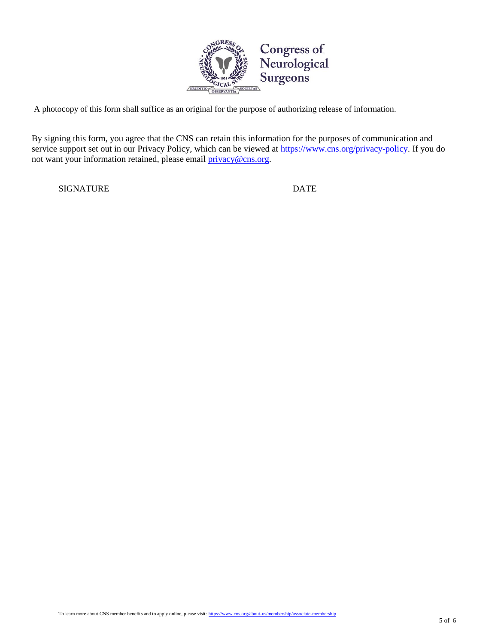

A photocopy of this form shall suffice as an original for the purpose of authorizing release of information.

By signing this form, you agree that the CNS can retain this information for the purposes of communication and service support set out in our Privacy Policy, which can be viewed at [https://www.cns.org/privacy-policy.](https://www.cns.org/privacy-policy) If you do not want your information retained, please email **privacy@cns.org**.

SIGNATURE DATE DATE